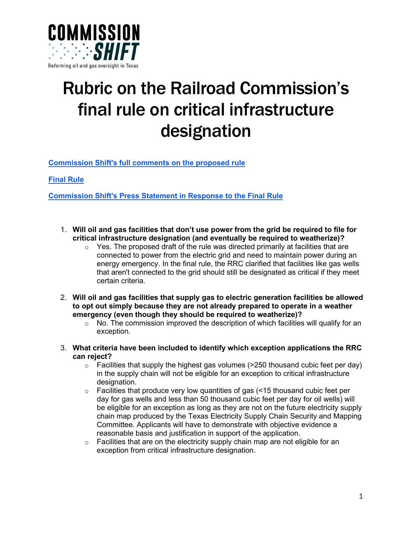

## Rubric on the Railroad Commission's final rule on critical infrastructure designation

**[Commission Shift's full comments on the proposed rule](https://commissionshift.org/wp-content/uploads/2021/11/2021.11.01_Commission-Shift_Comments-on-Proposed-16-TAC-%C2%A73.65-and-Amendments-to-%C2%A73.107.pdf)**

**[Final Rule](https://www.rrc.texas.gov/general-counsel/rules/proposed-rules/)**

**[Commission Shift's Press Statement in Response to the Final Rule](https://commissionshift.org/final-critical-infrastructure-rule/)**

- 1. **Will oil and gas facilities that don't use power from the grid be required to file for critical infrastructure designation (and eventually be required to weatherize)?**
	- $\circ$  Yes. The proposed draft of the rule was directed primarily at facilities that are connected to power from the electric grid and need to maintain power during an energy emergency. In the final rule, the RRC clarified that facilities like gas wells that aren't connected to the grid should still be designated as critical if they meet certain criteria.
- 2. **Will oil and gas facilities that supply gas to electric generation facilities be allowed to opt out simply because they are not already prepared to operate in a weather emergency (even though they should be required to weatherize)?**
	- $\circ$  No. The commission improved the description of which facilities will qualify for an exception.
- 3. **What criteria have been included to identify which exception applications the RRC can reject?**
	- $\circ$  Facilities that supply the highest gas volumes (>250 thousand cubic feet per day) in the supply chain will not be eligible for an exception to critical infrastructure designation.
	- $\circ$  Facilities that produce very low quantities of gas (<15 thousand cubic feet per day for gas wells and less than 50 thousand cubic feet per day for oil wells) will be eligible for an exception as long as they are not on the future electricity supply chain map produced by the Texas Electricity Supply Chain Security and Mapping Committee. Applicants will have to demonstrate with objective evidence a reasonable basis and justification in support of the application.
	- $\circ$  Facilities that are on the electricity supply chain map are not eligible for an exception from critical infrastructure designation.